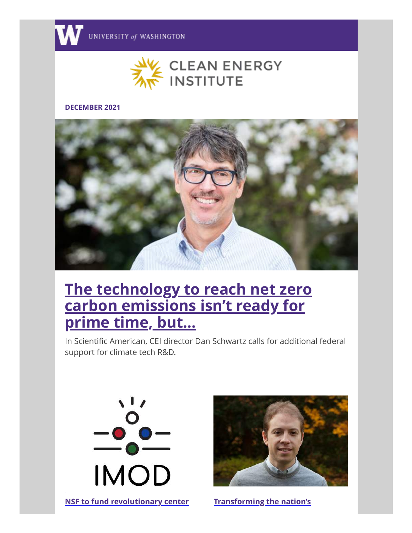

#### **DECEMBER 2021**



# **[The technology to reach net zero](http://discover.uw.edu/ol/hk5Xcc3Jdlhd6BYlut2oDfu_yniUI8zw7PEwRKa3gJtmjAVuYOPLdQyi0YIITsF0aPqZCAZNQ9ZlyQgFSqaGct0QvPBUDxyxVyn2jrLIT5hZP7F3yYd09qz4izlV847S1F_EDEwFc2RhOVTOMOhz12-hNYg3TQLavD2H/jEtYd8fMKVlNoVdlsbPWNb760SbDc52mr7V7APTn38os0Et_fKLMN0ygicFFFZE-YKaKCQddB5ViyAJXFu-SZc1U9bhPDkCxUHbxhbWXdYhcfvlw3dNj8Kbo3W0Muc6LnVLfREYdTmUhdgOcbaZtgjL1fYAxVg6Ct2_IOIJunj0cyuIJ3YaUaby_pl6U2Fzq2RO8AEgt_eyR332dLb5IvcEWuH4C-Gkgac_6ymyV16UU8TZox8Z9oBRuzOQqL9lO9Bi_SSva4IrcGbt4G5_nwsjqscg9O0w4gb8CLkSGOXbiC7yxTHde8iTUwD4SOhA-MCcNJvwXnT2XmCJdcrwbFTnhqTMzzmgn14NJ) carbon emissions isn't ready for prime time, but...**

In Scientific American, CEI director Dan Schwartz calls for additional federal support for climate tech R&D.



**[NSF to fund revolutionary center](http://discover.uw.edu/ol/hk5Vd8XKdlhd6BYlut2oDfu_yniUI8zw7PEwRKa3gJtmjAVuYOPLdQyi0YIITsF0aPqZCAZNQ9ZlyQgFSqaGct0QvPBUDxyxVyn2jrLIT5hZP7F3yYd09qz4izlV847S1F_EDEwFc2RhOVTOOe121WyhNYg3TQLavD2H/jEtRcsLOKllNoVdlsbPWNb760SLBaZChtbtpBvmo18srlkZ7Zf-AahG92ZwBRd1iPKaQEgRdB58sxhlWHq2HeZZP9uBJAk68WSnmzaLfYZlLY_l109Ms8Lix12UJr96WgFPCAExDUWRtahKIZPI0gT7vPp8vUASO_2iOaoooiBccirZZ-6aGZZ-B3UGU7BTfwT-7FXBcw-O9_Eu7M796otEVkE0NsQIzZNGu82b16LYIoScB7bR4nTp7_cplL_Bs5TffDTK6ztqqZfBjd6Hmwu34htF8RUknptQqTUfkfHSwONLOcgh62kOagWIXIgJhCyJ_UOgrxQXWpC5rbfsEQSa2szk,) [Transforming the nation's](http://discover.uw.edu/ol/hk5XcsDLdlhd6BYlut2oDfu_yniUI8zw7PEwRKa3gJtmjAVuYOPLdQyi0YIITsF0aPqZCAZNQ9ZlyQgFSqaGct0QvPBUDxyxVyn2jrLIT5hZP7F3yYd09qz4izlV847S1F_EDEwFc2RhOVfKP-Zy1GihNYg3TQLavD2H/j09XecbPLllNoVdlsbPWNb760TDDf9a9rPJ4DeKpwd8xzUR3deTbd0P9gdJfUZg9beeNDgxdF59kjQ1PG_KRMdIQqKQSVEy5TATrj6qHQrljaZhG-vNV5vi89Wowi_yjtX7qH1gJf1d8XQCJRrMJ3W_yKaF7T1C10HHsPYYZhHAHlZsQ3aS8coqw_lf2plKfxmDcHklw0dXPuFO2NrU_sYARkhAg3nkTKM_11G2RyZYugnYt4rtYniVg2-5Xec5ttwbaR3HS_p_ySO5saaU,)**

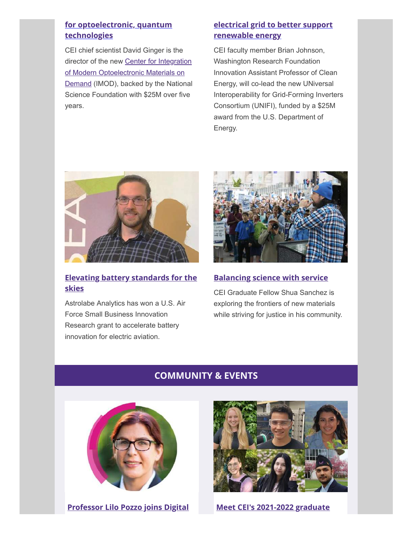## **[for optoelectronic, quantum](http://discover.uw.edu/ol/hk5Vd8XKdlhd6BYlut2oDfu_yniUI8zw7PEwRKa3gJtmjAVuYOPLdQyi0YIITsF0aPqZCAZNQ9ZlyQgFSqaGct0QvPBUDxyxVyn2jrLIT5hZP7F3yYd09qz4izlV847S1F_EDEwFc2RhOVTOOe121WyhNYg3TQLavD2H/jEtRcsLOKllNoVdlsbPWNb760SLBaZChtbtpBvmo18srlkZ7Zf-AahG92ZwBRd1iPKaQEgRdB58sxhlWHq2HeZZP9uBJAk68WSnmzaLfYZlLY_l109Ms8Lix12UJr96WgFPCAExDUWRtahKIZPI0gT7vPp8vUASO_2iOaoooiBccirZZ-6aGZZ-B3UGU7BTfwT-7FXBcw-O9_Eu7M796otEVkE0NsQIzZNGu82b16LYIoScB7bR4nTp7_cplL_Bs5TffDTK6ztqqZfBjd6Hmwu34htF8RUknptQqTUfkfHSwONLOcgh62kOagWIXIgJhCyJ_UOgrxQXWpC5rbfsEQSa2szk,) technologies**

CEI chief scientist David Ginger is the director of the new Center for Integration of Modern Optoelectronic Materials on [Demand \(IMOD\), backed by the National](http://discover.uw.edu/ol/hk5XdcXHdlhd6BYlut2oDfu_yniUI8zw7PEwRKa3gJtmjAVuYOPLdQyi0YIITsF0aPqZCAZNQ9ZlyQgFSqaGct0QvPBUDxyxVyn2jrLIT5hZP7F3yYd09qz4izlV847S1F_EDEwFc2RhOVfOMO113WmhNYg3TQLavD2H/j0tYcsHGL1lNoVdlsbPWK6Tim3jTbpvmtK56Rqjr2dsBzUd1L8H7FVnDvfVjKItifMSUNCMxMrdD5hpPHd-zbLlG7tpRIhjgTSLO2LGJXadEXLxy5tk58LiDzGszvdK7llnoXxwYGVs5NiyFZIo00G_oOqoPCinQ6laQMbEKqX0nhopcgJmBdpjk7WT32lf_4xicEQh64ZaOuUXpPYN6kdAHvWo0) Science Foundation with \$25M over five years.

# **[electrical grid to better support](http://discover.uw.edu/ol/hk5XcsDLdlhd6BYlut2oDfu_yniUI8zw7PEwRKa3gJtmjAVuYOPLdQyi0YIITsF0aPqZCAZNQ9ZlyQgFSqaGct0QvPBUDxyxVyn2jrLIT5hZP7F3yYd09qz4izlV847S1F_EDEwFc2RhOVfKP-Zy1GihNYg3TQLavD2H/j09XecbPLllNoVdlsbPWNb760TDDf9a9rPJ4DeKpwd8xzUR3deTbd0P9gdJfUZg9beeNDgxdF59kjQ1PG_KRMdIQqKQSVEy5TATrj6qHQrljaZhG-vNV5vi89Wowi_yjtX7qH1gJf1d8XQCJRrMJ3W_yKaF7T1C10HHsPYYZhHAHlZsQ3aS8coqw_lf2plKfxmDcHklw0dXPuFO2NrU_sYARkhAg3nkTKM_11G2RyZYugnYt4rtYniVg2-5Xec5ttwbaR3HS_p_ySO5saaU,) renewable energy**

CEI faculty member Brian Johnson, Washington Research Foundation Innovation Assistant Professor of Clean Energy, will co-lead the new UNiversal Interoperability for Grid-Forming Inverters Consortium (UNIFI), funded by a \$25M award from the U.S. Department of Energy.



# **[Elevating battery standards for the](http://discover.uw.edu/ol/hk5UdMLIdlhd6BYlut2oDfu_yniUI8zw7PEwRKa3gJtmjAVuYOPLdQyi0YIITsF0aPqZCAZNQ9ZlyQgFSqaGct0QvPBUDxyxVyn2jrLIT5hZP7F3yYd09qz4izlV847S1F_EDEwFc2RhOVfEOO941myhNYg3TQLavD2H/j0FQcMzNKllNoVdlsbPWNb760TbFc9a_uq91APnhxsAwl016Z6PKNET5icdYEpV_Z-iKFQcCCt1y1A1WHuGHeJMN_PpPRlW6XXbsi6jffMIRfL9n49Vu9PWI7E0dhuikoGjVWVYjSkRNRSe6S5k2kzrYFoAaWReo9lKYZ5I6rXAY1o8u3L-jfImso3yw01DN2iKBDVV4wJfI_AWWWctAg9o0qxV251ocUbXctCXqk7gTgBNu2u9A1Upk3PdZcN9_tzyaZyvO9qqhSO05V-arxdPorPcuaRwcmw,,) skies**

Astrolabe Analytics has won a U.S. Air Force Small Business Innovation Research grant to accelerate battery innovation for electric aviation.



## **[Balancing science with service](http://discover.uw.edu/ol/hk5WcM3Mdlhd6BYlut2oDfu_yniUI8zw7PEwRKa3gJtmjAVuYOPLdQyi0YIITsF0aPqZCAZNQ9ZlyQgFSqaGct0QvPBUDxyxVyn2jrLIT5hZP7F3yYd09qz4izlV847S1F_EDEwFc2RhOVfKMOZ10G6hNYg3TQLavD2H/j09YecHLKFlNoVdlsbPWNb760TbFc9a_uq91APnhxsAwl016Z6PNOU3uhtBYEpV_duqXBAwTFt12yRhQV_OQbpZJ-fASVEy5TATrj6qHQrljaZhG-vNV5vi89Wowi_yjtX7qH1gJf1d8XQCJRrMJ3W_yKaF7T1C10HHsPYYZhHAHlZsQ3aS8coqw_lf2plKfxmDcHklw0dXPuFO2NrU_sYARkhAg3nkTKM_11G2RyZYugnYt4rtYniVg2-5Xec5ttwbaR3HS_p_ySO5saaU,)**

CEI Graduate Fellow Shua Sanchez is exploring the frontiers of new materials while striving for justice in his community.

# **COMMUNITY & EVENTS**



**[Professor Lilo Pozzo joins Digital](http://discover.uw.edu/ol/hk5UeMLGdlhd6BYlut2oDfu_yniUI8zw7PEwRKa3gJtmjAVuYOPLdQyi0YIITsF0aPqZCAZNQ9ZlyQgFSqaGct0QvPBUDxyxVyn2jrLIT5hZP7F3yYd09qz4izlV847S1F_EDEwFc2RhOVTPMehw12mhNYg3TQLavD2H/jEpZd8TML1lNoVdlsbPWIKXimCaOaIur9bNvDrji1oBsiRovPbyWdxO2x8NDE5Q3dvqRE08cGpxujQgVCu-PZo8N8PpUBVL_TDP6zaTeZplBY71y0Ixj8Km33C9artKLnFvzHl8xQ2NjalvMP-x41mS_aMd2EVbfqCKUYd97z31f0OlXj8b-LuLmriPm-E_S0yGBPwxQ0OyDxmmaPq1zy84stXQFyXEBX8bg9DL45KwcrzIU-cUu3wl2x6Ric_tC6j6BXx77vIDoafxldKK9qeb3mKt6eUcd3tcEY2PkPQ_hAICiVXdbpgOhxzEOGA47CTNtUbkluBuu7W1NIMQdfy-Zigx6w2p2wPtAi7jioSWWbnrBLw,,) [Meet CEI's 2021-2022 graduate](http://discover.uw.edu/ol/hk5XdMPLdlhd6BYlut2oDfu_yniUI8zw7PEwRKa3gJtmjAVuYOPLdQyi0YIITsF0aPqZCAZNQ9ZlyQgFSqaGct0QvPBUDxyxVyn2jrLIT5hZP7F3yYd09qz4izlV847S1F_EDEwFc2RhOVfIP-px3GuhNYg3TQLavD2H/j01XdcXHLVlNoVdlsbPWNb760TbFc9a_uq91APnhxsAwl016Z6PfPU7_hNYeQ585cdaKDglNPqRM2CBtPNKhZdBZ1_9oKmCTfxnZlrbdUKteSLJn881IpvqwwVFduo6wuFbhAU40WCljdCCJYok3iwTjNbR1DBXe0C6TH58uqTxc17IO7L7-V-Sk1iKkw23zuRqNAwkr7-uQwQyqG85FiO4OklMBsVcjKvWl-mD22KwvriA53vw,)**